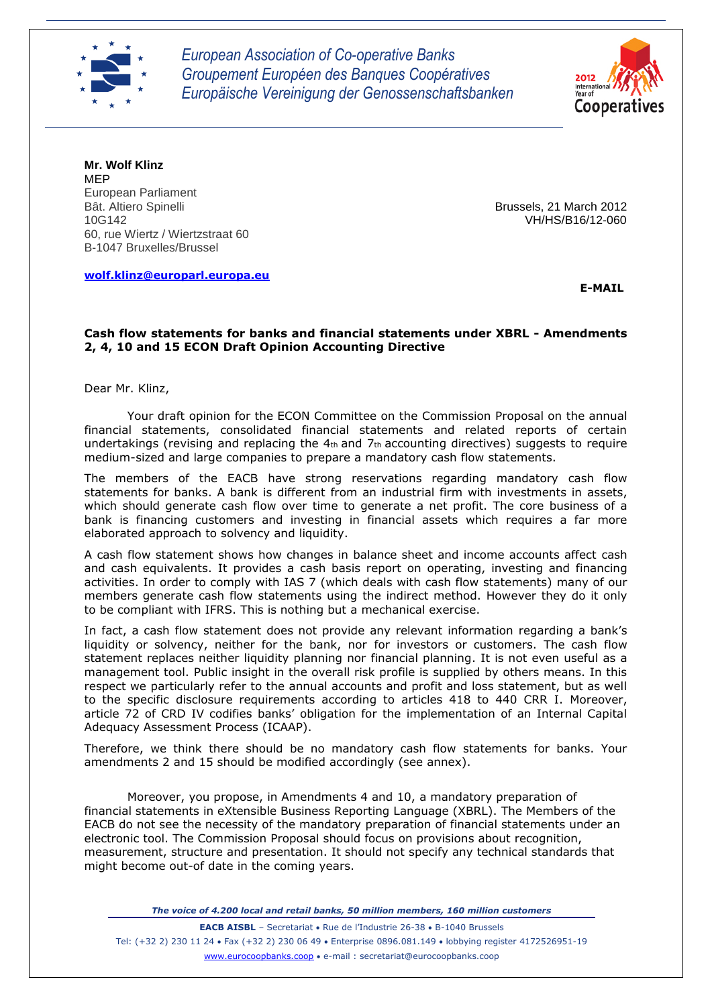

*European Association of Co-operative Banks Groupement Européen des Banques Coopératives Europäische Vereinigung der Genossenschaftsbanken*



**Mr. Wolf Klinz** MEP European Parliament<br>Bât. Altiero Spinelli Bât. Altiero Spinelli Bat. Altiero Spinelli Brussels, 21 March 2012<br>10G142 60, rue Wiertz / Wiertzstraat 60 B-1047 Bruxelles/Brussel

**[wolf.klinz@europarl.europa.eu](mailto:wolf.klinz@europarl.europa.eu)**

10G142 VH/HS/B16/12-060

 **E-MAIL**

#### **Cash flow statements for banks and financial statements under XBRL - Amendments 2, 4, 10 and 15 ECON Draft Opinion Accounting Directive**

Dear Mr. Klinz,

Your draft opinion for the ECON Committee on the Commission Proposal on the annual financial statements, consolidated financial statements and related reports of certain undertakings (revising and replacing the 4th and 7th accounting directives) suggests to require medium-sized and large companies to prepare a mandatory cash flow statements.

The members of the EACB have strong reservations regarding mandatory cash flow statements for banks. A bank is different from an industrial firm with investments in assets, which should generate cash flow over time to generate a net profit. The core business of a bank is financing customers and investing in financial assets which requires a far more elaborated approach to solvency and liquidity.

A cash flow statement shows how changes in balance sheet and income accounts affect cash and cash equivalents. It provides a cash basis report on operating, investing and financing activities. In order to comply with IAS 7 (which deals with cash flow statements) many of our members generate cash flow statements using the indirect method. However they do it only to be compliant with IFRS. This is nothing but a mechanical exercise.

In fact, a cash flow statement does not provide any relevant information regarding a bank's liquidity or solvency, neither for the bank, nor for investors or customers. The cash flow statement replaces neither liquidity planning nor financial planning. It is not even useful as a management tool. Public insight in the overall risk profile is supplied by others means. In this respect we particularly refer to the annual accounts and profit and loss statement, but as well to the specific disclosure requirements according to articles 418 to 440 CRR I. Moreover, article 72 of CRD IV codifies banks' obligation for the implementation of an Internal Capital Adequacy Assessment Process (ICAAP).

Therefore, we think there should be no mandatory cash flow statements for banks. Your amendments 2 and 15 should be modified accordingly (see annex).

Moreover, you propose, in Amendments 4 and 10, a mandatory preparation of financial statements in eXtensible Business Reporting Language (XBRL). The Members of the EACB do not see the necessity of the mandatory preparation of financial statements under an electronic tool. The Commission Proposal should focus on provisions about recognition, measurement, structure and presentation. It should not specify any technical standards that might become out-of date in the coming years.

*The voice of 4.200 local and retail banks, 50 million members, 160 million customers*

**EACB AISBL** - Secretariat • Rue de l'Industrie 26-38 • B-1040 Brussels Tel: (+32 2) 230 11 24 · Fax (+32 2) 230 06 49 · Enterprise 0896.081.149 · lobbying register 4172526951-19 www.eurocoopbanks.coop e-mail : secretariat@eurocoopbanks.coop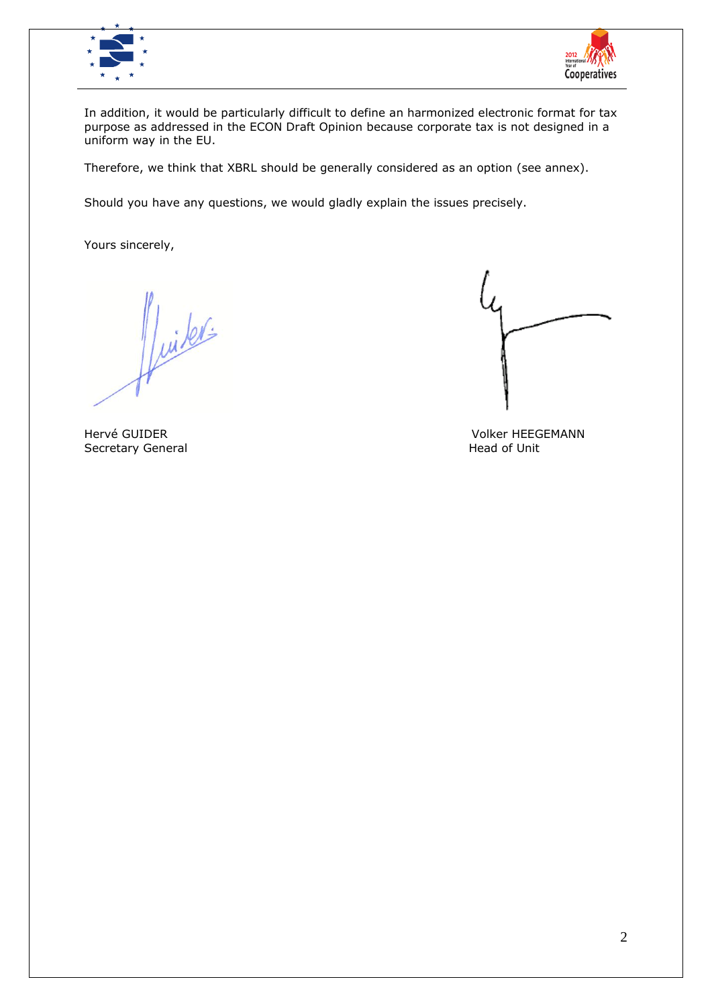



In addition, it would be particularly difficult to define an harmonized electronic format for tax purpose as addressed in the ECON Draft Opinion because corporate tax is not designed in a uniform way in the EU.

Therefore, we think that XBRL should be generally considered as an option (see annex).

Should you have any questions, we would gladly explain the issues precisely.

Yours sincerely,

Viiters

Secretary General

Hervé GUIDER Volker HEEGEMANN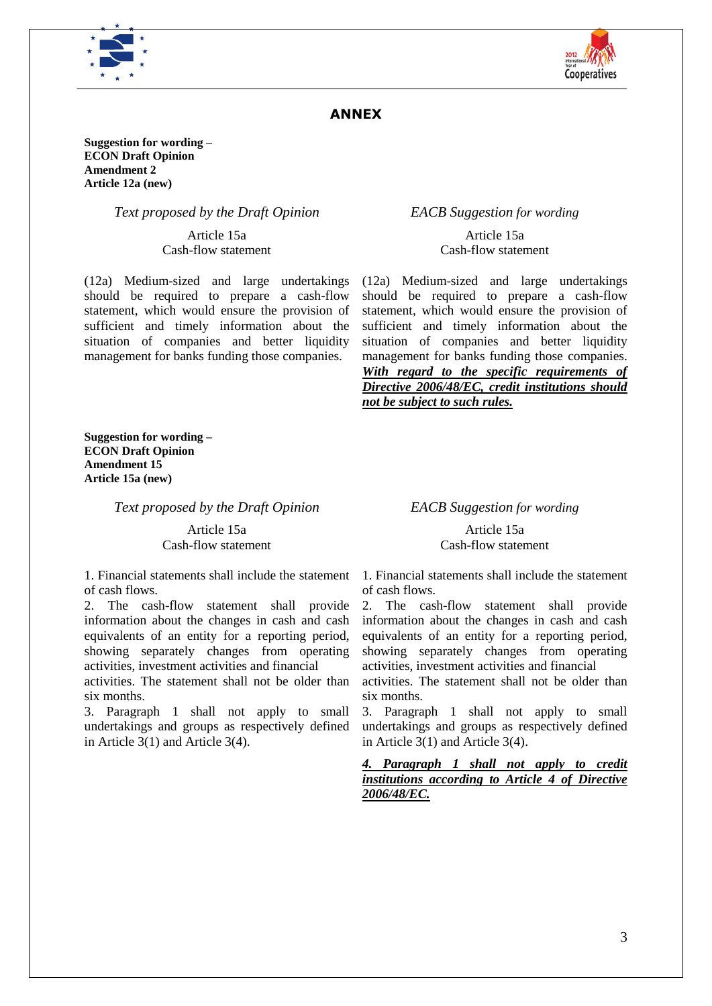



# **ANNEX**

**Suggestion for wording – ECON Draft Opinion Amendment 2 Article 12a (new)**

#### *Text proposed by the Draft Opinion EACB Suggestion for wording*

Article 15a Cash-flow statement

(12a) Medium-sized and large undertakings should be required to prepare a cash-flow statement, which would ensure the provision of sufficient and timely information about the situation of companies and better liquidity management for banks funding those companies.

Article 15a Cash-flow statement

(12a) Medium-sized and large undertakings should be required to prepare a cash-flow statement, which would ensure the provision of sufficient and timely information about the situation of companies and better liquidity management for banks funding those companies. *With regard to the specific requirements of Directive 2006/48/EC, credit institutions should not be subject to such rules.*

**Suggestion for wording – ECON Draft Opinion Amendment 15 Article 15a (new)**

*Text proposed by the Draft Opinion EACB Suggestion for wording*

Article 15a Cash-flow statement

1. Financial statements shall include the statement of cash flows.

2. The cash-flow statement shall provide information about the changes in cash and cash equivalents of an entity for a reporting period, showing separately changes from operating activities, investment activities and financial

activities. The statement shall not be older than six months.

3. Paragraph 1 shall not apply to small undertakings and groups as respectively defined in Article 3(1) and Article 3(4).

Article 15a Cash-flow statement

1. Financial statements shall include the statement of cash flows.

2. The cash-flow statement shall provide information about the changes in cash and cash equivalents of an entity for a reporting period, showing separately changes from operating activities, investment activities and financial

activities. The statement shall not be older than six months.

3. Paragraph 1 shall not apply to small undertakings and groups as respectively defined in Article 3(1) and Article 3(4).

*4. Paragraph 1 shall not apply to credit institutions according to Article 4 of Directive 2006/48/EC.*